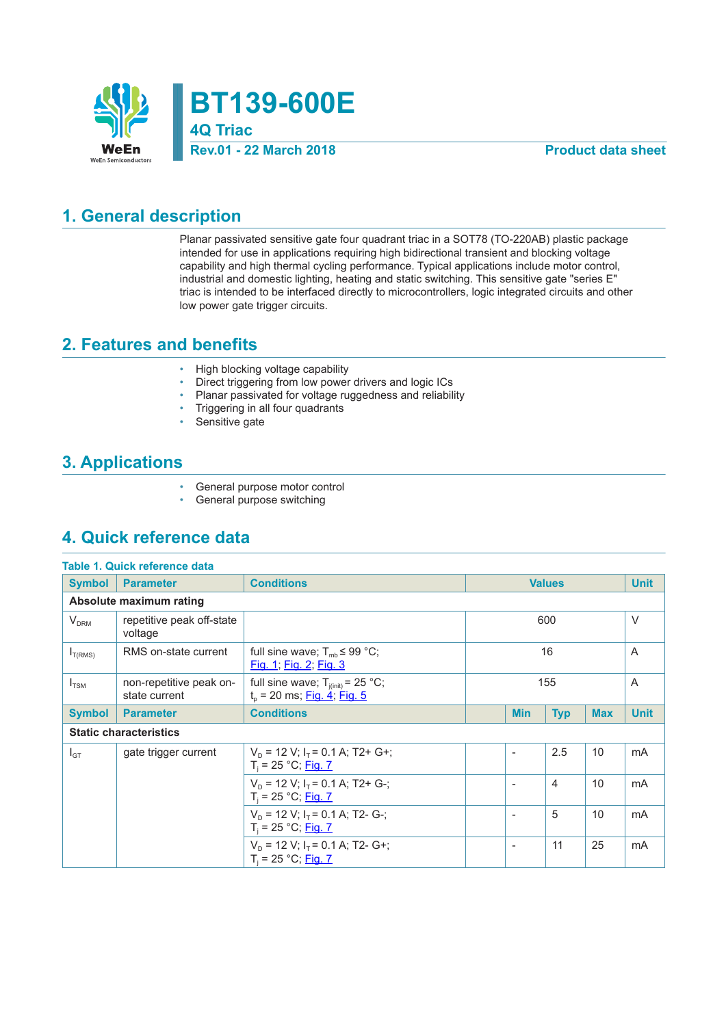

**BT139-600E 4Q Triac**

#### **Rev.01 - 22 March 2018 Product data sheet**

#### **1. General description**

Planar passivated sensitive gate four quadrant triac in a SOT78 (TO-220AB) plastic package intended for use in applications requiring high bidirectional transient and blocking voltage capability and high thermal cycling performance. Typical applications include motor control, industrial and domestic lighting, heating and static switching. This sensitive gate "series E" triac is intended to be interfaced directly to microcontrollers, logic integrated circuits and other low power gate trigger circuits.

#### **2. Features and benefits**

- High blocking voltage capability
- Direct triggering from low power drivers and logic ICs
- Planar passivated for voltage ruggedness and reliability
- Triggering in all four quadrants
- Sensitive gate

### **3. Applications**

- General purpose motor control<br>• General purpose switching
- General purpose switching

### **4. Quick reference data**

|               | Table 1. Quick reference data            |                                                                                |     |                              |               |            |             |
|---------------|------------------------------------------|--------------------------------------------------------------------------------|-----|------------------------------|---------------|------------|-------------|
| <b>Symbol</b> | <b>Parameter</b>                         | <b>Conditions</b>                                                              |     |                              | <b>Values</b> |            | <b>Unit</b> |
|               | Absolute maximum rating                  |                                                                                |     |                              |               |            |             |
| $V_{DRM}$     | repetitive peak off-state<br>voltage     |                                                                                |     |                              | 600           |            | $\vee$      |
| $I_{T(RMS)}$  | RMS on-state current                     | full sine wave; $T_{mb} \leq 99 \text{ °C}$ ;<br><u>Fig. 1; Fig. 2; Fig. 3</u> | 16  |                              |               |            | A           |
| $I_{TSM}$     | non-repetitive peak on-<br>state current | full sine wave; $T_{j(int)} = 25 °C$ ;<br>$t_{p}$ = 20 ms; Fig. 4; Fig. 5      | 155 |                              |               |            | A           |
| <b>Symbol</b> | <b>Parameter</b>                         | <b>Conditions</b>                                                              |     | <b>Min</b>                   | <b>Typ</b>    | <b>Max</b> | <b>Unit</b> |
|               | <b>Static characteristics</b>            |                                                                                |     |                              |               |            |             |
| $I_{GT}$      | gate trigger current                     | $V_D$ = 12 V; $I_T$ = 0.1 A; T2+ G+;<br>$T_i = 25 °C;$ Fig. 7                  |     |                              | 2.5           | 10         | mA          |
|               |                                          | $V_D$ = 12 V; $I_T$ = 0.1 A; T2+ G-;<br>$T_i = 25 °C;$ Fig. 7                  |     | $\overline{\phantom{a}}$     | 4             | 10         | mA          |
|               |                                          | $V_D$ = 12 V; $I_T$ = 0.1 A; T2- G-;<br>$T_i = 25 °C;$ Fig. 7                  |     |                              | 5             | 10         | mA          |
|               |                                          | $V_p = 12 V$ ; $I_r = 0.1 A$ ; T2- G+;<br>$T_i = 25 °C;$ Fig. 7                |     | $\qquad \qquad \blacksquare$ | 11            | 25         | mA          |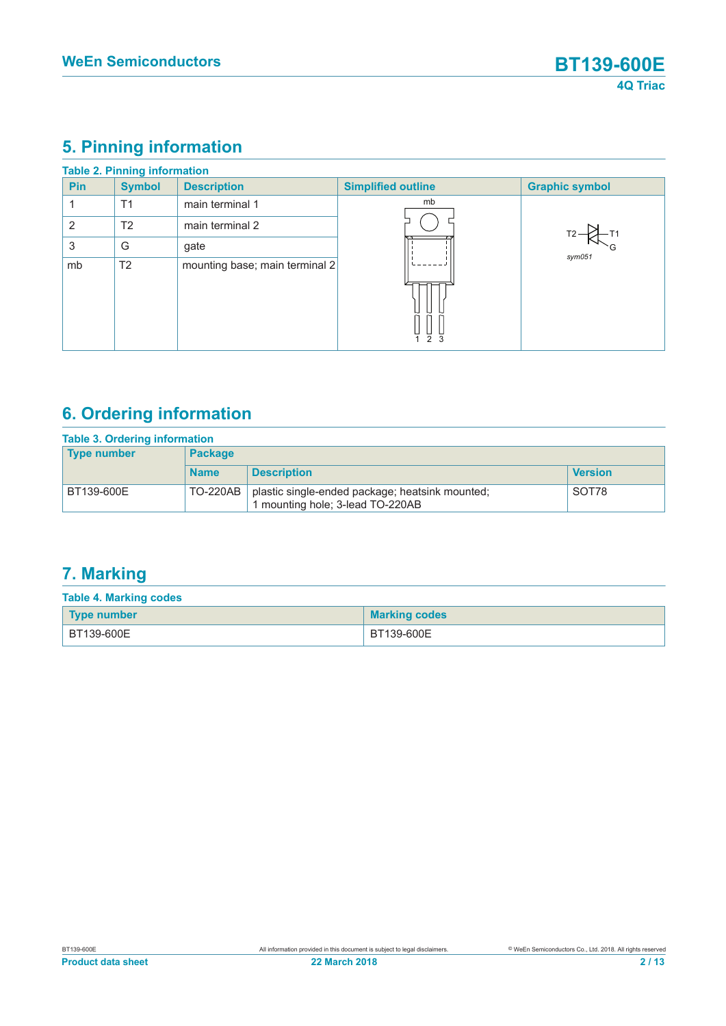# **5. Pinning information**

|                | <b>Table 2. Pinning information</b> |                                |                           |                       |
|----------------|-------------------------------------|--------------------------------|---------------------------|-----------------------|
| <b>Pin</b>     | <b>Symbol</b>                       | <b>Description</b>             | <b>Simplified outline</b> | <b>Graphic symbol</b> |
|                | T1                                  | main terminal 1                | mb                        |                       |
| $\overline{2}$ | T <sub>2</sub>                      | main terminal 2                |                           |                       |
| 3              | G                                   | gate                           |                           | sym051                |
| mb             | T <sub>2</sub>                      | mounting base; main terminal 2 | 123                       |                       |

# **6. Ordering information**

| <b>Table 3. Ordering information</b> |                |                                                                                     |                |
|--------------------------------------|----------------|-------------------------------------------------------------------------------------|----------------|
| <b>Type number</b>                   | <b>Package</b> |                                                                                     |                |
|                                      | <b>Name</b>    | <b>Description</b>                                                                  | <b>Version</b> |
| BT139-600E                           | TO-220AB       | plastic single-ended package; heatsink mounted;<br>1 mounting hole; 3-lead TO-220AB | SOT78          |

# **7. Marking**

| <b>Table 4. Marking codes</b> |                      |  |  |  |  |
|-------------------------------|----------------------|--|--|--|--|
| Type number                   | <b>Marking codes</b> |  |  |  |  |
| BT139-600E                    | BT139-600E           |  |  |  |  |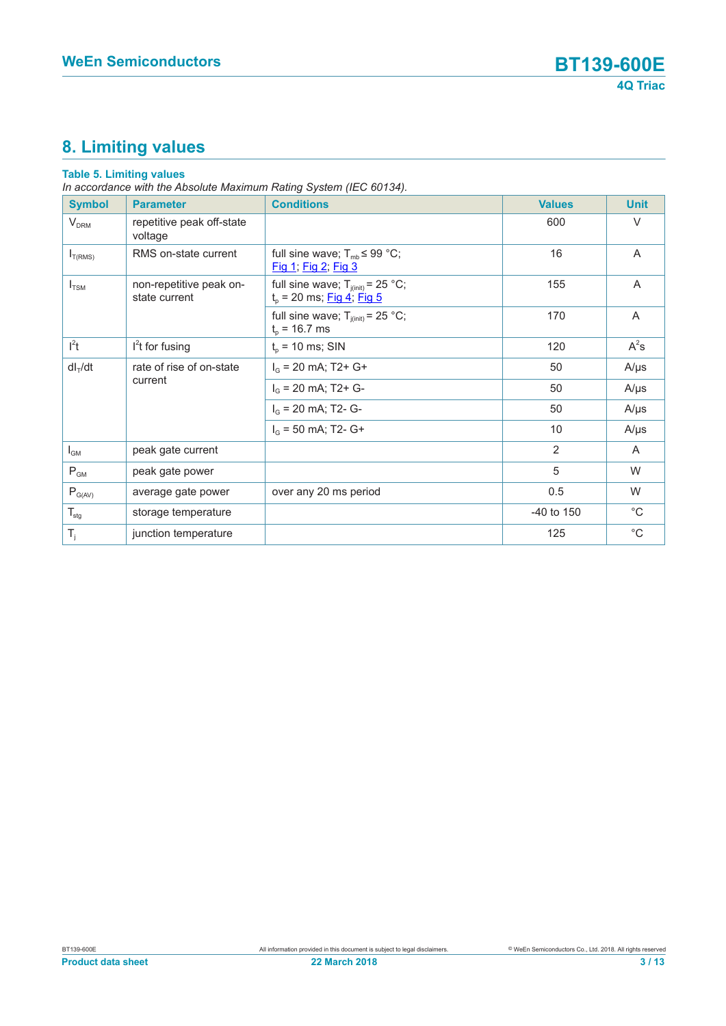# **8. Limiting values**

#### **Table 5. Limiting values**

*In accordance with the Absolute Maximum Rating System (IEC 60134).*

| <b>Symbol</b>    | <b>Parameter</b>                         | <b>Conditions</b>                                                     | <b>Values</b>  | <b>Unit</b>  |
|------------------|------------------------------------------|-----------------------------------------------------------------------|----------------|--------------|
| $V_{DRM}$        | repetitive peak off-state<br>voltage     |                                                                       | 600            | V            |
| $I_{T(RMS)}$     | RMS on-state current                     | full sine wave; $T_{mb} \leq 99$ °C;<br>Fig 1, Fig 2, Fig 3           | 16             | A            |
| $I_{TSM}$        | non-repetitive peak on-<br>state current | full sine wave; $T_{i(int)} = 25 °C$ ;<br>$t_p$ = 20 ms; Fig 4; Fig 5 | 155            | A            |
|                  |                                          | full sine wave; $T_{j(int)} = 25$ °C;<br>$t_{p}$ = 16.7 ms            | 170            | A            |
| l <sup>2</sup> t | $l2t$ for fusing                         | $t_{p}$ = 10 ms; SIN                                                  | 120            | $A^2s$       |
| $dl_T/dt$        | rate of rise of on-state                 | $I_G$ = 20 mA; T2+ G+                                                 | 50             | $A/\mu s$    |
|                  | current                                  | $I_G$ = 20 mA; T2+ G-                                                 | 50             | $A/\mu s$    |
|                  |                                          | $I_G$ = 20 mA; T2- G-                                                 | 50             | $A/\mu s$    |
|                  |                                          | $I_G$ = 50 mA; T2- G+                                                 | 10             | $A/\mu s$    |
| $I_{GM}$         | peak gate current                        |                                                                       | 2              | A            |
| $P_{GM}$         | peak gate power                          |                                                                       | 5              | W            |
| $P_{G(AV)}$      | average gate power                       | over any 20 ms period                                                 | 0.5            | W            |
| $T_{\text{stg}}$ | storage temperature                      |                                                                       | $-40$ to $150$ | $^{\circ}$ C |
| $T_i$            | junction temperature                     |                                                                       | 125            | $^{\circ}C$  |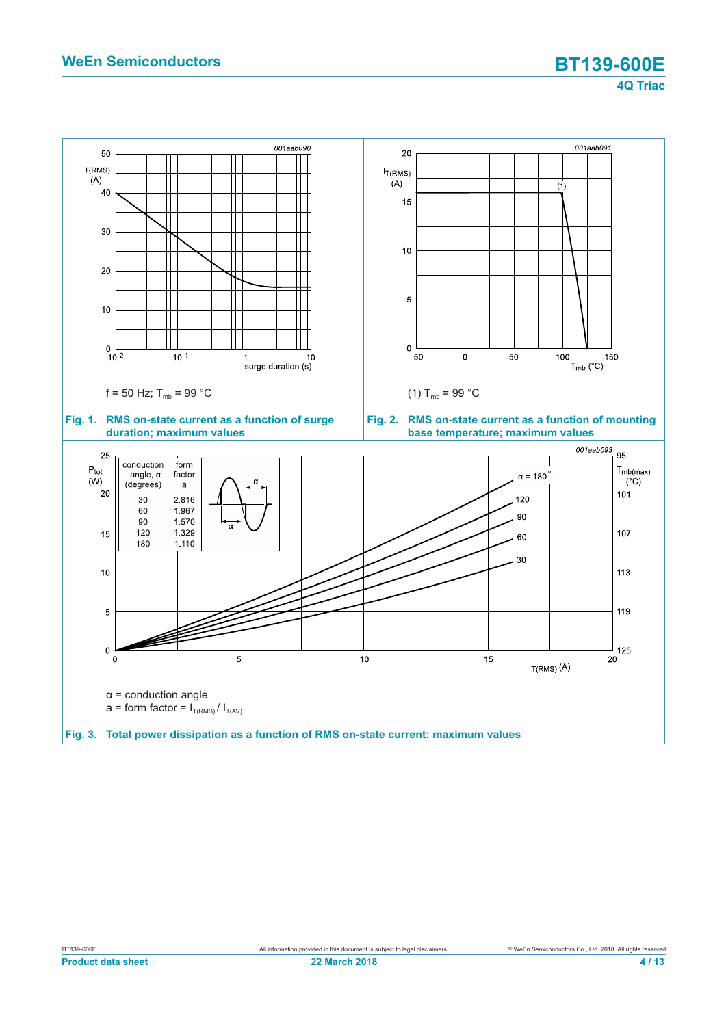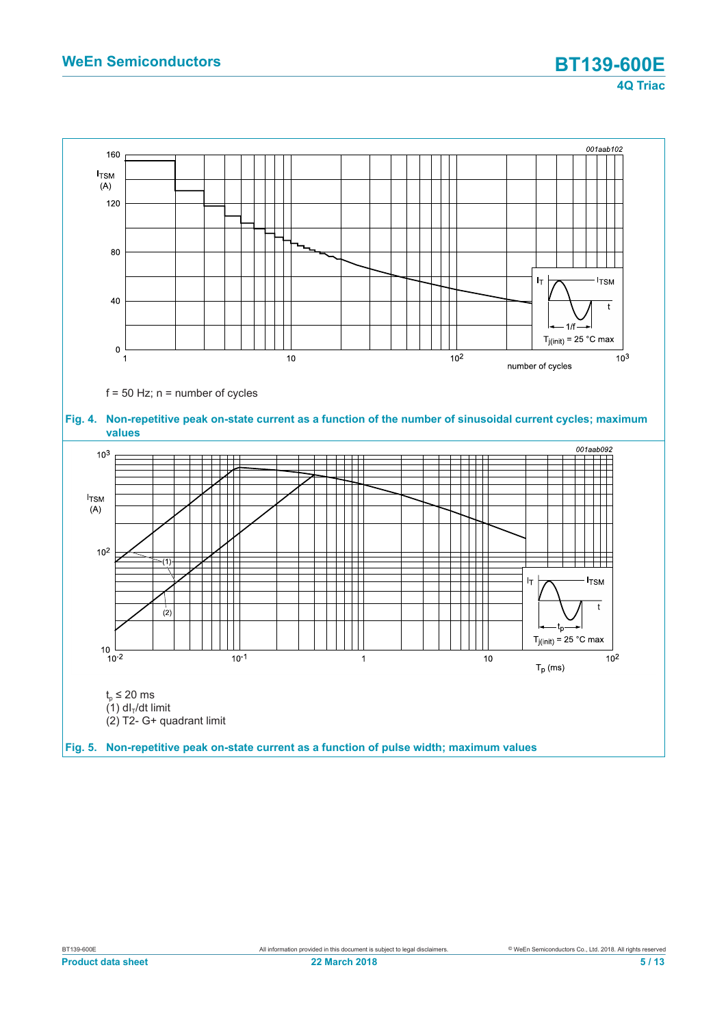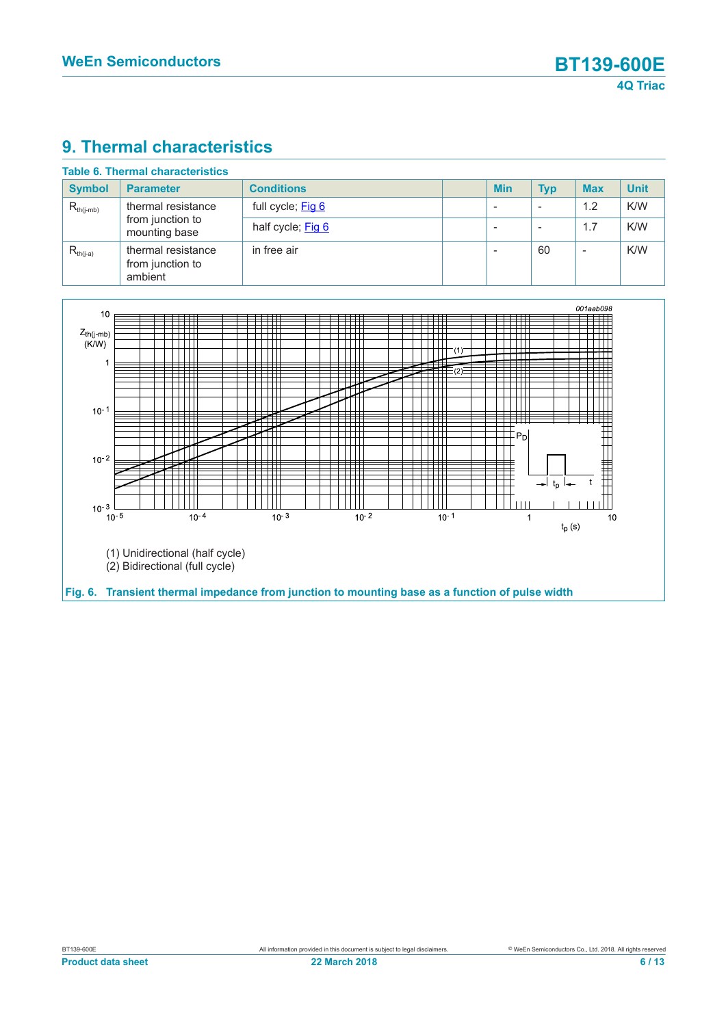### **9. Thermal characteristics**

| <b>Symbol</b>  | <b>Parameter</b>                                  | <b>Conditions</b> | <b>Min</b> | <b>Typ</b> | <b>Max</b> | <b>Unit</b> |
|----------------|---------------------------------------------------|-------------------|------------|------------|------------|-------------|
| $R_{th(j-mb)}$ | thermal resistance                                | full cycle; Fig 6 |            |            | 1.2        | K/W         |
|                | from junction to<br>mounting base                 | half cycle; Fig 6 |            |            | 1.7        | K/W         |
| $R_{th(i-a)}$  | thermal resistance<br>from junction to<br>ambient | in free air       |            | 60         |            | K/W         |

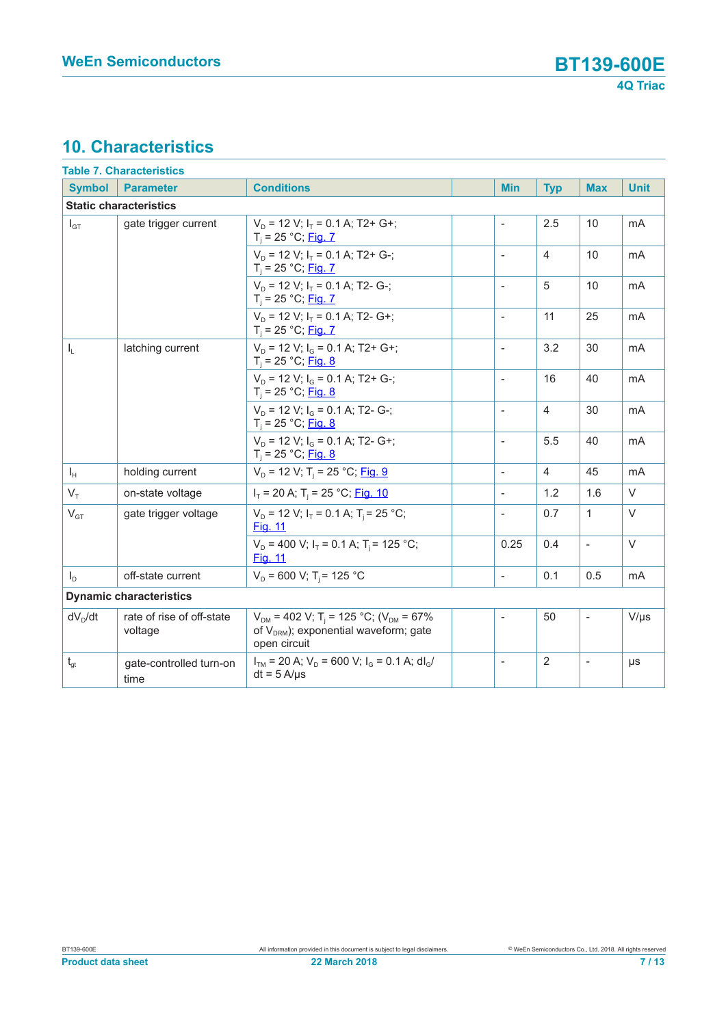# **10. Characteristics**

|                                | <b>Table 7. Characteristics</b>      |                                                                                                                                 |  |                          |                |                          |                |
|--------------------------------|--------------------------------------|---------------------------------------------------------------------------------------------------------------------------------|--|--------------------------|----------------|--------------------------|----------------|
| <b>Symbol</b>                  | <b>Parameter</b>                     | <b>Conditions</b>                                                                                                               |  | <b>Min</b>               | <b>Typ</b>     | <b>Max</b>               | <b>Unit</b>    |
|                                | <b>Static characteristics</b>        |                                                                                                                                 |  |                          |                |                          |                |
| $I_{GT}$                       | gate trigger current                 | $V_p = 12 V$ ; $I_r = 0.1 A$ ; T2+ G+;<br>$T_i = 25 °C;$ Fig. 7                                                                 |  | $\overline{\phantom{a}}$ | 2.5            | 10                       | mA             |
|                                |                                      | $V_p = 12$ V; $I_r = 0.1$ A; T2+ G-;<br>$T_i = 25 °C;$ Fig. 7                                                                   |  | $\blacksquare$           | $\overline{4}$ | 10                       | mA             |
|                                |                                      | $V_p = 12$ V; $I_r = 0.1$ A; T2- G-;<br>$T_i = 25 °C;$ Fig. 7                                                                   |  | $\overline{\phantom{a}}$ | 5              | 10                       | mA             |
|                                |                                      | $V_p = 12 V; I_T = 0.1 A; T2 - G+;$<br>$T_i = 25 °C;$ Fig. 7                                                                    |  | $\overline{\phantom{a}}$ | 11             | 25                       | mA             |
| $I_{L}$                        | latching current                     | $V_p = 12$ V; $I_q = 0.1$ A; T2+ G+;<br>$T_i = 25 °C;$ Fig. 8                                                                   |  | $\overline{\phantom{a}}$ | 3.2            | 30                       | mA             |
|                                |                                      | $V_D$ = 12 V; $I_G$ = 0.1 A; T2+ G-;<br>$T_i = 25 °C;$ Fig. 8                                                                   |  | $\overline{\phantom{a}}$ | 16             | 40                       | m <sub>A</sub> |
|                                |                                      | $V_D$ = 12 V; $I_G$ = 0.1 A; T2- G-;<br>$T_i = 25 °C;$ Fig. 8                                                                   |  | $\overline{\phantom{a}}$ | $\overline{4}$ | 30                       | mA             |
|                                |                                      | $V_p = 12$ V; $I_q = 0.1$ A; T2- G+;<br>$T_i = 25 °C;$ Fig. 8                                                                   |  | $\overline{\phantom{a}}$ | 5.5            | 40                       | mA             |
| $I_{H}$                        | holding current                      | $V_D$ = 12 V; T <sub>i</sub> = 25 °C; Fig. 9                                                                                    |  | $\overline{a}$           | $\overline{4}$ | 45                       | mA             |
| $V_{\tau}$                     | on-state voltage                     | $I_T$ = 20 A; T <sub>i</sub> = 25 °C; Fig. 10                                                                                   |  | $\overline{\phantom{a}}$ | 1.2            | 1.6                      | $\vee$         |
| $V_{GT}$                       | gate trigger voltage                 | $V_p = 12$ V; $I_T = 0.1$ A; $T_i = 25$ °C;<br><b>Fig. 11</b>                                                                   |  |                          | 0.7            | $\mathbf{1}$             | $\vee$         |
|                                |                                      | $V_D$ = 400 V; $I_T$ = 0.1 A; T <sub>i</sub> = 125 °C;<br><b>Fig. 11</b>                                                        |  | 0.25                     | 0.4            | $\overline{a}$           | $\vee$         |
| $I_D$                          | off-state current                    | $V_D$ = 600 V; T <sub>i</sub> = 125 °C                                                                                          |  | $\overline{\phantom{a}}$ | 0.1            | 0.5                      | mA             |
| <b>Dynamic characteristics</b> |                                      |                                                                                                                                 |  |                          |                |                          |                |
| $dV_D/dt$                      | rate of rise of off-state<br>voltage | $V_{DM}$ = 402 V; T <sub>i</sub> = 125 °C; (V <sub>DM</sub> = 67%<br>of $V_{DRM}$ ); exponential waveform; gate<br>open circuit |  | $\overline{\phantom{a}}$ | 50             | $\overline{\phantom{a}}$ | $V/\mu s$      |
| $t_{gt}$                       | gate-controlled turn-on<br>time      | $ITM$ = 20 A; $VD$ = 600 V; $IG$ = 0.1 A; dl <sub>G</sub> /<br>$dt = 5 A/ \mu s$                                                |  | $\overline{\phantom{a}}$ | $\overline{2}$ | $\overline{\phantom{a}}$ | μs             |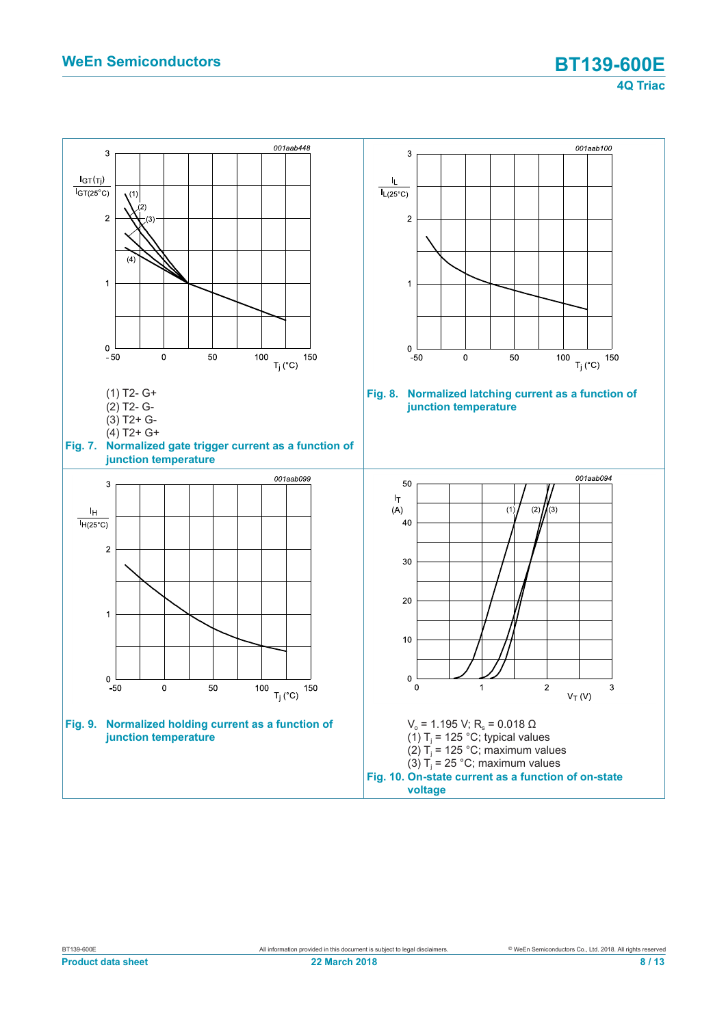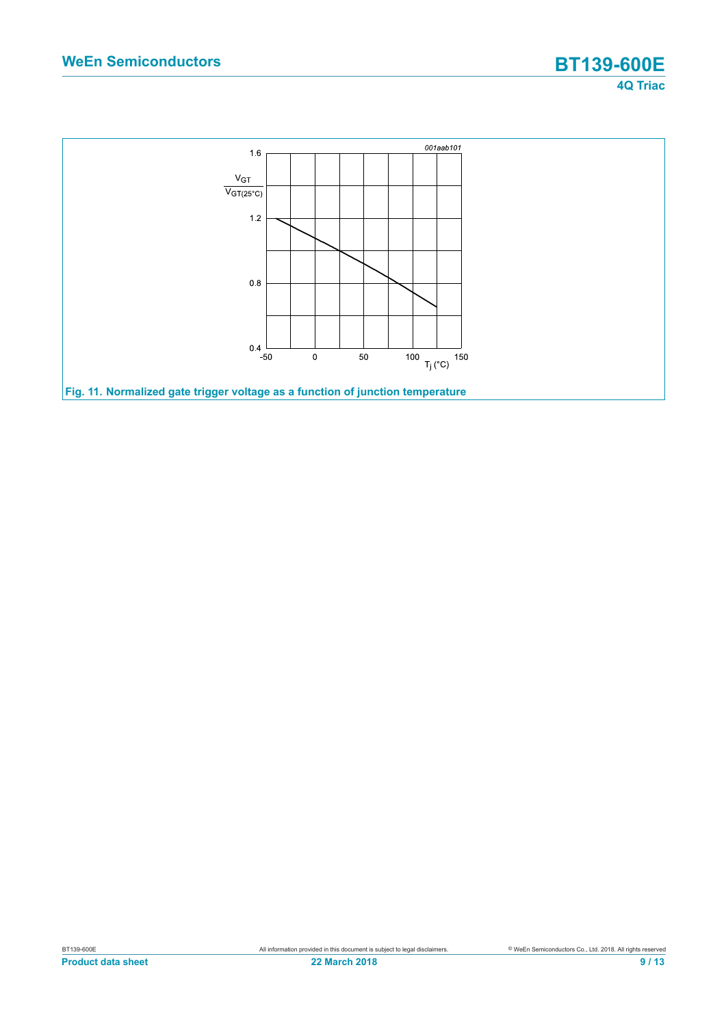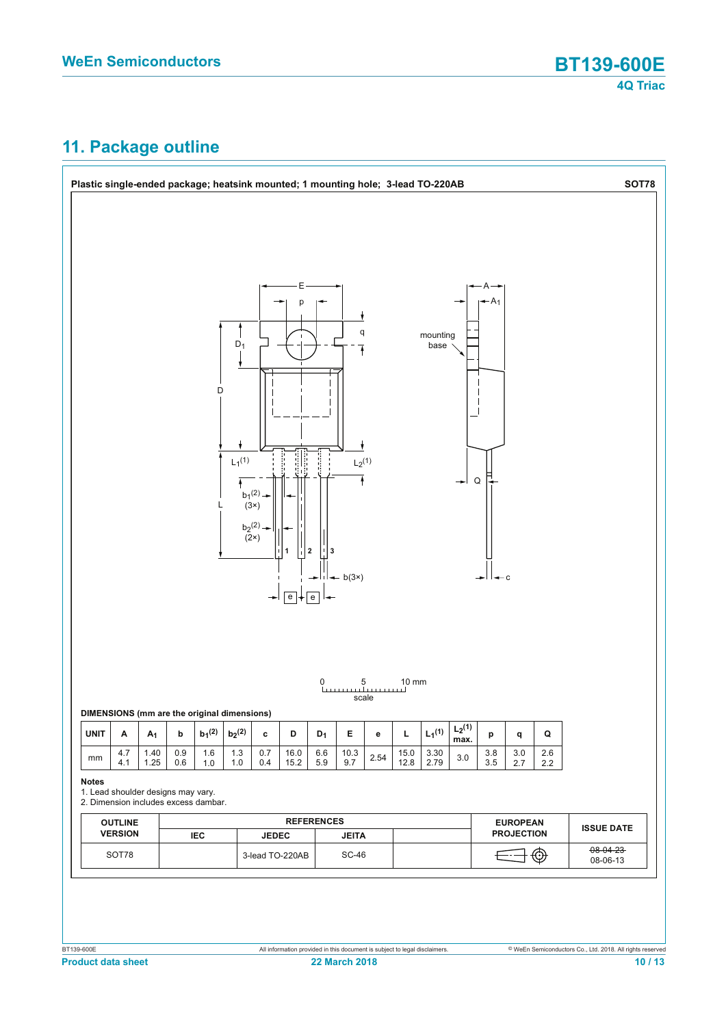# **11. Package outline**

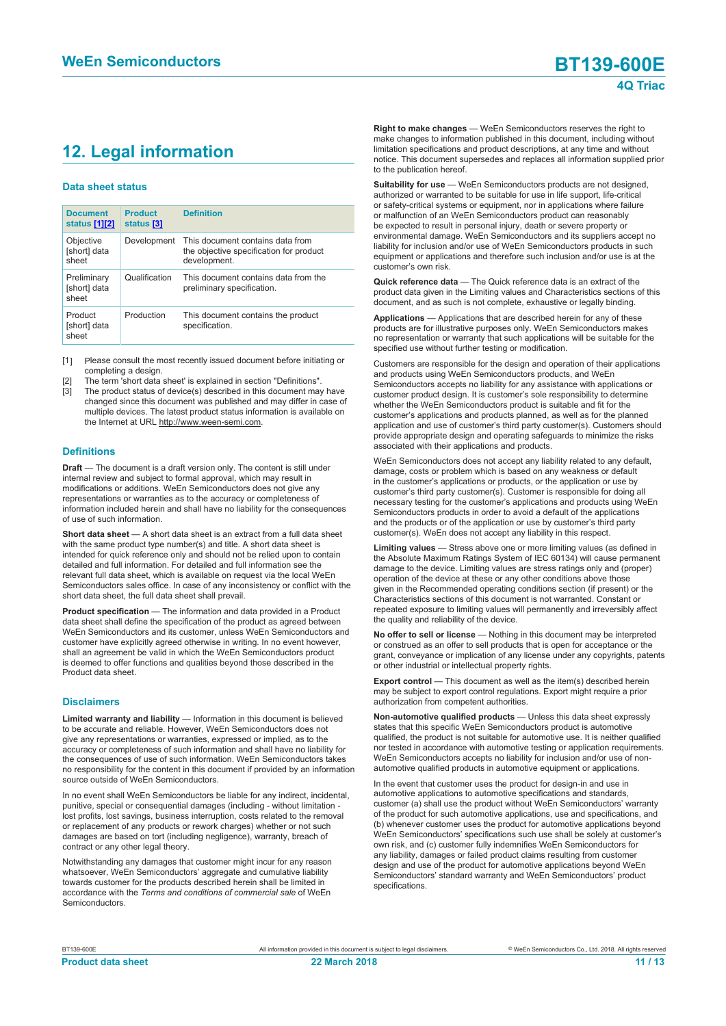# **12. Legal information**

#### **Data sheet status**

| <b>Document</b><br>status [1][2]     | <b>Product</b><br>status [3] | <b>Definition</b>                                                                           |
|--------------------------------------|------------------------------|---------------------------------------------------------------------------------------------|
| Objective<br>[short] data<br>sheet   | Development                  | This document contains data from<br>the objective specification for product<br>development. |
| Preliminary<br>[short] data<br>sheet | Qualification                | This document contains data from the<br>preliminary specification.                          |
| Product<br>[short] data<br>sheet     | Production                   | This document contains the product<br>specification.                                        |

[1] Please consult the most recently issued document before initiating or completing a design.

- [2] The term 'short data sheet' is explained in section "Definitions".
- [3] The product status of device(s) described in this document may have changed since this document was published and may differ in case of multiple devices. The latest product status information is available on the Internet at URL http://www.ween-semi.com.

#### **Definitions**

**Draft** — The document is a draft version only. The content is still under internal review and subject to formal approval, which may result in modifications or additions. WeEn Semiconductors does not give any representations or warranties as to the accuracy or completeness of information included herein and shall have no liability for the consequences of use of such information.

**Short data sheet** — A short data sheet is an extract from a full data sheet with the same product type number(s) and title. A short data sheet is intended for quick reference only and should not be relied upon to contain detailed and full information. For detailed and full information see the relevant full data sheet, which is available on request via the local WeEn Semiconductors sales office. In case of any inconsistency or conflict with the short data sheet, the full data sheet shall prevail.

**Product specification** — The information and data provided in a Product data sheet shall define the specification of the product as agreed between WeEn Semiconductors and its customer, unless WeEn Semiconductors and customer have explicitly agreed otherwise in writing. In no event however, shall an agreement be valid in which the WeEn Semiconductors product is deemed to offer functions and qualities beyond those described in the Product data sheet.

#### **Disclaimers**

**Limited warranty and liability** — Information in this document is believed to be accurate and reliable. However, WeEn Semiconductors does not give any representations or warranties, expressed or implied, as to the accuracy or completeness of such information and shall have no liability for the consequences of use of such information. WeEn Semiconductors takes no responsibility for the content in this document if provided by an information source outside of WeEn Semiconductors.

In no event shall WeEn Semiconductors be liable for any indirect, incidental, punitive, special or consequential damages (including - without limitation lost profits, lost savings, business interruption, costs related to the removal or replacement of any products or rework charges) whether or not such damages are based on tort (including negligence), warranty, breach of contract or any other legal theory.

Notwithstanding any damages that customer might incur for any reason whatsoever, WeEn Semiconductors' aggregate and cumulative liability towards customer for the products described herein shall be limited in accordance with the *Terms and conditions of commercial sale* of WeEn Semiconductors.

**Right to make changes** — WeEn Semiconductors reserves the right to make changes to information published in this document, including without limitation specifications and product descriptions, at any time and without notice. This document supersedes and replaces all information supplied prior to the publication hereof.

**Suitability for use** — WeEn Semiconductors products are not designed, authorized or warranted to be suitable for use in life support, life-critical or safety-critical systems or equipment, nor in applications where failure or malfunction of an WeEn Semiconductors product can reasonably be expected to result in personal injury, death or severe property or environmental damage. WeEn Semiconductors and its suppliers accept no liability for inclusion and/or use of WeEn Semiconductors products in such equipment or applications and therefore such inclusion and/or use is at the customer's own risk.

**Quick reference data** — The Quick reference data is an extract of the product data given in the Limiting values and Characteristics sections of this document, and as such is not complete, exhaustive or legally binding.

**Applications** — Applications that are described herein for any of these products are for illustrative purposes only. WeEn Semiconductors makes no representation or warranty that such applications will be suitable for the specified use without further testing or modification.

Customers are responsible for the design and operation of their applications and products using WeEn Semiconductors products, and WeEn Semiconductors accepts no liability for any assistance with applications or customer product design. It is customer's sole responsibility to determine whether the WeEn Semiconductors product is suitable and fit for the customer's applications and products planned, as well as for the planned application and use of customer's third party customer(s). Customers should provide appropriate design and operating safeguards to minimize the risks associated with their applications and products.

WeEn Semiconductors does not accept any liability related to any default, damage, costs or problem which is based on any weakness or default in the customer's applications or products, or the application or use by customer's third party customer(s). Customer is responsible for doing all necessary testing for the customer's applications and products using WeEn Semiconductors products in order to avoid a default of the applications and the products or of the application or use by customer's third party customer(s). WeEn does not accept any liability in this respect.

**Limiting values** — Stress above one or more limiting values (as defined in the Absolute Maximum Ratings System of IEC 60134) will cause permanent damage to the device. Limiting values are stress ratings only and (proper) operation of the device at these or any other conditions above those given in the Recommended operating conditions section (if present) or the Characteristics sections of this document is not warranted. Constant or repeated exposure to limiting values will permanently and irreversibly affect the quality and reliability of the device.

**No offer to sell or license** — Nothing in this document may be interpreted or construed as an offer to sell products that is open for acceptance or the grant, conveyance or implication of any license under any copyrights, patents or other industrial or intellectual property rights.

**Export control** — This document as well as the item(s) described herein may be subject to export control regulations. Export might require a prior authorization from competent authorities.

**Non-automotive qualified products** — Unless this data sheet expressly states that this specific WeEn Semiconductors product is automotive qualified, the product is not suitable for automotive use. It is neither qualified nor tested in accordance with automotive testing or application requirements. WeEn Semiconductors accepts no liability for inclusion and/or use of nonautomotive qualified products in automotive equipment or applications.

In the event that customer uses the product for design-in and use in automotive applications to automotive specifications and standards, customer (a) shall use the product without WeEn Semiconductors' warranty of the product for such automotive applications, use and specifications, and (b) whenever customer uses the product for automotive applications beyond WeEn Semiconductors' specifications such use shall be solely at customer's own risk, and (c) customer fully indemnifies WeEn Semiconductors for any liability, damages or failed product claims resulting from customer design and use of the product for automotive applications beyond WeEn Semiconductors' standard warranty and WeEn Semiconductors' product specifications.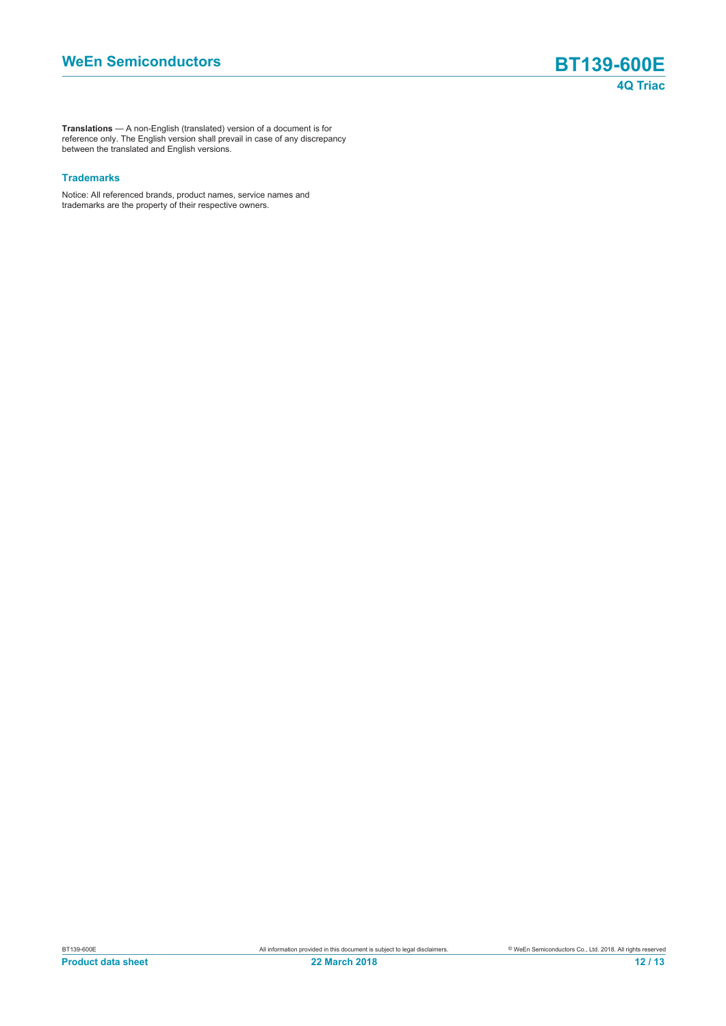**Translations** — A non-English (translated) version of a document is for reference only. The English version shall prevail in case of any discrepancy between the translated and English versions.

#### **Trademarks**

Notice: All referenced brands, product names, service names and trademarks are the property of their respective owners.